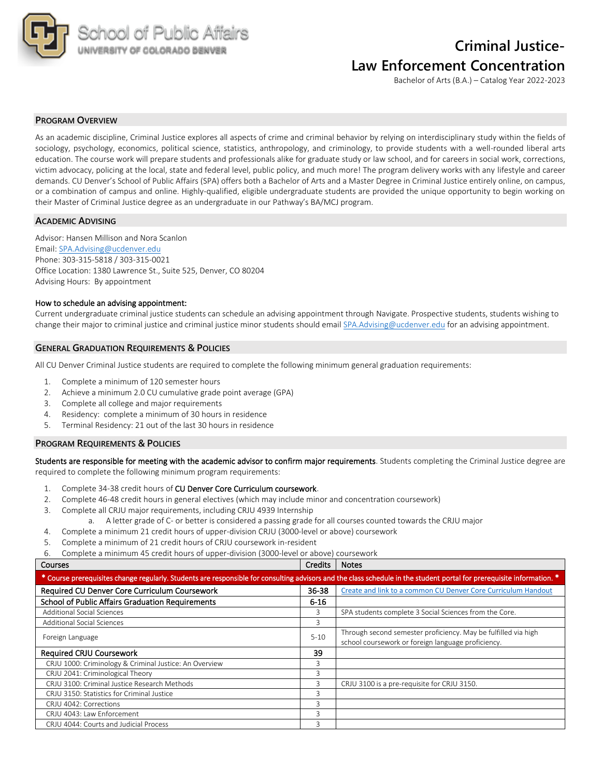

# **Criminal Justice-Law Enforcement Concentration**

Bachelor of Arts (B.A.) – Catalog Year 2022-2023

### **PROGRAM OVERVIEW**

As an academic discipline, Criminal Justice explores all aspects of crime and criminal behavior by relying on interdisciplinary study within the fields of sociology, psychology, economics, political science, statistics, anthropology, and criminology, to provide students with a well-rounded liberal arts education. The course work will prepare students and professionals alike for graduate study or law school, and for careers in social work, corrections, victim advocacy, policing at the local, state and federal level, public policy, and much more! The program delivery works with any lifestyle and career demands. CU Denver's School of Public Affairs (SPA) offers both a Bachelor of Arts and a Master Degree in Criminal Justice entirely online, on campus, or a combination of campus and online. Highly-qualified, eligible undergraduate students are provided the unique opportunity to begin working on their Master of Criminal Justice degree as an undergraduate in our Pathway's BA/MCJ program.

#### **ACADEMIC ADVISING**

Advisor: Hansen Millison and Nora Scanlon Email: SPA.Advising@ucdenver.edu Phone: 303-315-5818 / 303-315-0021 Office Location: 1380 Lawrence St., Suite 525, Denver, CO 80204 Advising Hours: By appointment

#### How to schedule an advising appointment:

Current undergraduate criminal justice students can schedule an advising appointment through Navigate. Prospective students, students wishing to change their major to criminal justice and criminal justice minor students should email SPA.Advising@ucdenver.edu for an advising appointment.

#### **GENERAL GRADUATION REQUIREMENTS & POLICIES**

All CU Denver Criminal Justice students are required to complete the following minimum general graduation requirements:

- 1. Complete a minimum of 120 semester hours
- 2. Achieve a minimum 2.0 CU cumulative grade point average (GPA)
- 3. Complete all college and major requirements
- 4. Residency: complete a minimum of 30 hours in residence
- 5. Terminal Residency: 21 out of the last 30 hours in residence

#### **PROGRAM REQUIREMENTS & POLICIES**

Students are responsible for meeting with the academic advisor to confirm major requirements. Students completing the Criminal Justice degree are required to complete the following minimum program requirements:

- 1. Complete 34-38 credit hours of CU Denver Core Curriculum coursework.
- 2. Complete 46-48 credit hours in general electives (which may include minor and concentration coursework)
- 3. Complete all CRJU major requirements, including CRJU 4939 Internship
	- a. A letter grade of C- or better is considered a passing grade for all courses counted towards the CRJU major
- 4. Complete a minimum 21 credit hours of upper-division CRJU (3000-level or above) coursework
- 5. Complete a minimum of 21 credit hours of CRJU coursework in-resident

6. Complete a minimum 45 credit hours of upper-division (3000-level or above) coursework

#### **Courses Courses Courses Courses Courses Courses Courses Courses Courses Courses Courses Courses Courses Courses**

| * Course prerequisites change regularly. Students are responsible for consulting advisors and the class schedule in the student portal for prerequisite information. * |           |                                                                                                                      |  |  |  |  |
|------------------------------------------------------------------------------------------------------------------------------------------------------------------------|-----------|----------------------------------------------------------------------------------------------------------------------|--|--|--|--|
| Required CU Denver Core Curriculum Coursework                                                                                                                          | $36 - 38$ | Create and link to a common CU Denver Core Curriculum Handout                                                        |  |  |  |  |
| <b>School of Public Affairs Graduation Requirements</b>                                                                                                                | $6 - 16$  |                                                                                                                      |  |  |  |  |
| <b>Additional Social Sciences</b>                                                                                                                                      | 3         | SPA students complete 3 Social Sciences from the Core.                                                               |  |  |  |  |
| <b>Additional Social Sciences</b>                                                                                                                                      | 3         |                                                                                                                      |  |  |  |  |
| Foreign Language                                                                                                                                                       | $5 - 10$  | Through second semester proficiency. May be fulfilled via high<br>school coursework or foreign language proficiency. |  |  |  |  |
| <b>Required CRJU Coursework</b>                                                                                                                                        | 39        |                                                                                                                      |  |  |  |  |
| CRJU 1000: Criminology & Criminal Justice: An Overview                                                                                                                 | 3         |                                                                                                                      |  |  |  |  |
| CRJU 2041: Criminological Theory                                                                                                                                       | 3         |                                                                                                                      |  |  |  |  |
| CRJU 3100: Criminal Justice Research Methods                                                                                                                           | 3         | CRJU 3100 is a pre-requisite for CRJU 3150.                                                                          |  |  |  |  |
| CRJU 3150: Statistics for Criminal Justice                                                                                                                             | 3         |                                                                                                                      |  |  |  |  |
| CRJU 4042: Corrections                                                                                                                                                 | 3         |                                                                                                                      |  |  |  |  |
| CRJU 4043: Law Enforcement                                                                                                                                             | 3         |                                                                                                                      |  |  |  |  |
| CRJU 4044: Courts and Judicial Process                                                                                                                                 | 3         |                                                                                                                      |  |  |  |  |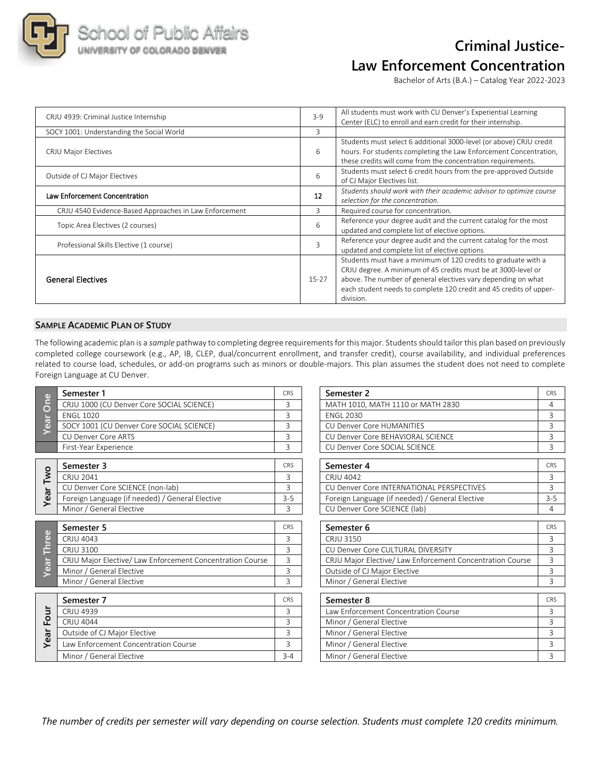

## **Criminal Justice-Law Enforcement Concentration**

Bachelor of Arts (B.A.) – Catalog Year 2022-2023

| CRJU 4939: Criminal Justice Internship                 | $3 - 9$                  | All students must work with CU Denver's Experiential Learning<br>Center (ELC) to enroll and earn credit for their internship.                                                                                                                                                       |
|--------------------------------------------------------|--------------------------|-------------------------------------------------------------------------------------------------------------------------------------------------------------------------------------------------------------------------------------------------------------------------------------|
| SOCY 1001: Understanding the Social World              | 3                        |                                                                                                                                                                                                                                                                                     |
| <b>CRJU Major Electives</b>                            | 6                        | Students must select 6 additional 3000-level (or above) CRJU credit<br>hours. For students completing the Law Enforcement Concentration,<br>these credits will come from the concentration requirements.                                                                            |
| Outside of CJ Major Electives                          | 6                        | Students must select 6 credit hours from the pre-approved Outside<br>of CJ Major Electives list.                                                                                                                                                                                    |
| Law Enforcement Concentration                          | 12                       | Students should work with their academic advisor to optimize course<br>selection for the concentration.                                                                                                                                                                             |
| CRJU 4540 Evidence-Based Approaches in Law Enforcement | 3                        | Required course for concentration.                                                                                                                                                                                                                                                  |
| Topic Area Electives (2 courses)                       | 6                        | Reference your degree audit and the current catalog for the most<br>updated and complete list of elective options.                                                                                                                                                                  |
| Professional Skills Elective (1 course)                | $\overline{\mathcal{E}}$ | Reference your degree audit and the current catalog for the most<br>updated and complete list of elective options                                                                                                                                                                   |
| <b>General Electives</b>                               | $15-27$                  | Students must have a minimum of 120 credits to graduate with a<br>CRJU degree. A minimum of 45 credits must be at 3000-level or<br>above. The number of general electives vary depending on what<br>each student needs to complete 120 credit and 45 credits of upper-<br>division. |

### **SAMPLE ACADEMIC PLAN OF STUDY**

The following academic plan is a *sample* pathway to completing degree requirements for this major. Students should tailor this plan based on previously completed college coursework (e.g., AP, IB, CLEP, dual/concurrent enrollment, and transfer credit), course availability, and individual preferences related to course load, schedules, or add-on programs such as minors or double-majors. This plan assumes the student does not need to complete Foreign Language at CU Denver.

|                   | Semester 1                                                | <b>CRS</b> | Semester 2                                                | CR             |
|-------------------|-----------------------------------------------------------|------------|-----------------------------------------------------------|----------------|
| One<br>Year       | CRJU 1000 (CU Denver Core SOCIAL SCIENCE)                 | 3          | MATH 1010, MATH 1110 or MATH 2830                         | $\overline{4}$ |
|                   | <b>ENGL 1020</b>                                          | 3          | <b>ENGL 2030</b>                                          | $\overline{3}$ |
|                   | SOCY 1001 (CU Denver Core SOCIAL SCIENCE)                 | 3          | <b>CU Denver Core HUMANITIES</b>                          | 3              |
|                   | <b>CU Denver Core ARTS</b>                                | 3          | CU Denver Core BEHAVIORAL SCIENCE                         | 3              |
|                   | First-Year Experience                                     | 3          | CU Denver Core SOCIAL SCIENCE                             | $\overline{3}$ |
|                   | Semester 3                                                | <b>CRS</b> | Semester 4                                                | CR             |
| Two               | CRJU 2041                                                 | 3          | CRJU 4042                                                 | 3              |
|                   | CU Denver Core SCIENCE (non-lab)                          | 3          | CU Denver Core INTERNATIONAL PERSPECTIVES                 | $\overline{3}$ |
| Year              | Foreign Language (if needed) / General Elective           | $3 - 5$    | Foreign Language (if needed) / General Elective           | $3-$           |
|                   | Minor / General Elective                                  | 3          | CU Denver Core SCIENCE (lab)                              | $\overline{4}$ |
| $\omega$<br>Three | Semester 5                                                | <b>CRS</b> | Semester 6                                                | <b>CR</b>      |
|                   | CRJU 4043                                                 | 3          | CRJU 3150                                                 | $\overline{3}$ |
|                   | CRJU 3100                                                 | 3          | CU Denver Core CULTURAL DIVERSITY                         | 3              |
|                   | CRJU Major Elective/ Law Enforcement Concentration Course | 3          | CRJU Major Elective/ Law Enforcement Concentration Course | $\overline{3}$ |
| Year              | Minor / General Elective                                  | 3          | Outside of CJ Major Elective                              | $\overline{3}$ |
|                   | Minor / General Elective                                  | 3          | Minor / General Elective                                  | 3              |
| Four<br>Year      | Semester 7                                                | CRS        | Semester 8                                                | <b>CR</b>      |
|                   | <b>CRJU 4939</b>                                          | 3          | Law Enforcement Concentration Course                      | 3              |
|                   | <b>CRJU 4044</b>                                          | 3          | Minor / General Elective                                  | 3              |
|                   | Outside of CJ Major Elective                              | 3          | Minor / General Elective                                  | 3              |
|                   | Law Enforcement Concentration Course                      | 3          | Minor / General Elective                                  | 3              |
|                   | Minor / General Elective                                  | $3 - 4$    | Minor / General Elective                                  | 3              |

| Semester 1                                                | <b>CRS</b>     | Semester 2                                                |                |
|-----------------------------------------------------------|----------------|-----------------------------------------------------------|----------------|
| CRJU 1000 (CU Denver Core SOCIAL SCIENCE)                 | 3              | MATH 1010, MATH 1110 or MATH 2830                         | 4              |
| <b>FNGL 1020</b>                                          | 3              | <b>ENGL 2030</b>                                          | 3              |
| SOCY 1001 (CU Denver Core SOCIAL SCIENCE)                 | 3              | <b>CU Denver Core HUMANITIES</b>                          | $\overline{3}$ |
| <b>CU Denver Core ARTS</b>                                | 3              | CU Denver Core BEHAVIORAL SCIENCE                         | 3              |
| First-Year Experience                                     | 3              | CU Denver Core SOCIAL SCIENCE                             | 3              |
| Semester 3                                                | CRS            | Semester 4                                                | CRS            |
| <b>CRJU 2041</b>                                          | 3              | CRJU 4042                                                 | 3              |
| CU Denver Core SCIENCE (non-lab)                          | $\overline{3}$ | CU Denver Core INTERNATIONAL PERSPECTIVES                 | 3              |
| Foreign Language (if needed) / General Elective           | $3 - 5$        | Foreign Language (if needed) / General Elective           | $3 - 5$        |
| Minor / General Elective                                  | 3              | CU Denver Core SCIENCE (lab)                              | 4              |
| Semester 5                                                | <b>CRS</b>     | Semester 6                                                | CRS            |
| <b>CRJU 4043</b>                                          | 3              | CRJU 3150                                                 | 3              |
| <b>CRJU 3100</b>                                          | 3              | CU Denver Core CULTURAL DIVERSITY                         | 3              |
| CRJU Major Elective/ Law Enforcement Concentration Course | 3              | CRJU Major Elective/ Law Enforcement Concentration Course | 3              |
| Minor / General Elective                                  | $\overline{3}$ | Outside of CJ Major Elective                              | 3              |
| Minor / General Elective                                  | 3              | Minor / General Elective                                  | 3              |
| Semester 7                                                | CRS            | Semester 8                                                | <b>CRS</b>     |
| <b>CRJU 4939</b>                                          | 3              | Law Enforcement Concentration Course                      | 3              |
| <b>CRJU 4044</b>                                          | 3              | Minor / General Elective                                  | 3              |
| Outside of CJ Major Elective                              | 3              | Minor / General Elective                                  | 3              |
| Law Enforcement Concentration Course                      | 3              | Minor / General Elective                                  | 3              |
| Minor / General Elective                                  | $3 - 4$        | Minor / General Elective                                  | 3              |

*The number of credits per semester will vary depending on course selection. Students must complete 120 credits minimum.*